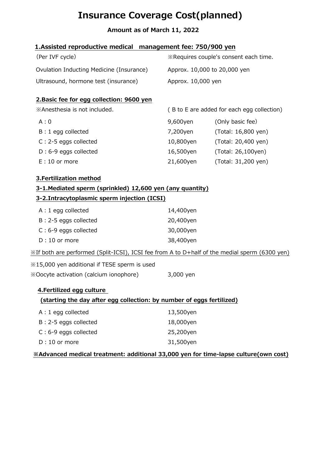# Insurance Coverage Cost(planned)

# Amount as of March 11, 2022

# 1.Assisted reproductive medical management fee: 750/900 yen

| (Per IVF cycle)                          | <b>Example 2</b> Sequires couple's consent each time. |
|------------------------------------------|-------------------------------------------------------|
| Ovulation Inducting Medicine (Insurance) | Approx. 10,000 to 20,000 yen                          |
| Ultrasound, hormone test (insurance)     | Approx. 10,000 yen                                    |

#### 2.Basic fee for egg collection: 9600 yen

| =================================   |                                            |                     |
|-------------------------------------|--------------------------------------------|---------------------|
| <b>XAnesthesia is not included.</b> | (B to E are added for each egg collection) |                     |
| A:0                                 | 9,600yen                                   | (Only basic fee)    |
| B: 1 egg collected                  | 7,200yen                                   | (Total: 16,800 yen) |
| C: 2-5 eggs collected               | 10,800yen                                  | (Total: 20,400 yen) |
| D: 6-9 eggs collected               | 16,500yen                                  | (Total: 26,100yen)  |
| $E: 10$ or more                     | 21,600yen                                  | (Total: 31,200 yen) |
|                                     |                                            |                     |

#### 3.Fertilization method

# 3-1.Mediated sperm (sprinkled) 12,600 yen (any quantity)

# 3-2.Intracytoplasmic sperm injection (ICSI)

| $A: 1$ egg collected    | 14,400yen |
|-------------------------|-----------|
| B: 2-5 eggs collected   | 20,400yen |
| $C: 6-9$ eggs collected | 30,000yen |
| $D:10$ or more          | 38,400yen |

※If both are performed (Split-ICSI), ICSI fee from A to D+half of the medial sperm (6300 yen)

※15,000 yen additional if TESE sperm is used ※Oocyte activation (calcium ionophore) 3,000 yen

# 4.Fertilized egg culture

# (starting the day after egg collection: by number of eggs fertilized)

| $A: 1$ egg collected    | 13,500yen |
|-------------------------|-----------|
| B: 2-5 eggs collected   | 18,000yen |
| $C: 6-9$ eggs collected | 25,200yen |
| $D:10$ or more          | 31,500yen |

# ※Advanced medical treatment: additional 33,000 yen for time-lapse culture(own cost)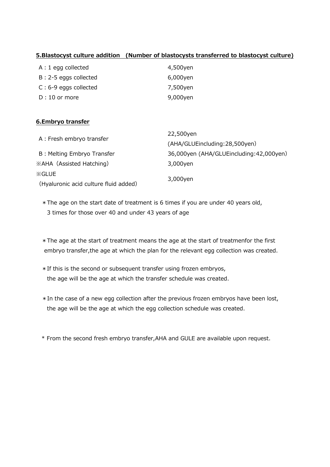#### 5.Blastocyst culture addition (Number of blastocysts transferred to blastocyst culture)

| $A: 1$ egg collected    | 4,500yen |
|-------------------------|----------|
| B: 2-5 eggs collected   | 6,000yen |
| $C: 6-9$ eggs collected | 7,500yen |
| $D:10$ or more          | 9,000yen |

#### 6.Embryo transfer

| A: Fresh embryo transfer              | 22,500yen                               |  |
|---------------------------------------|-----------------------------------------|--|
|                                       | (AHA/GLUEincluding:28,500yen)           |  |
| B: Melting Embryo Transfer            | 36,000yen (AHA/GLUEincluding:42,000yen) |  |
| <b>XAHA</b> (Assisted Hatching)       | 3,000yen                                |  |
| $\mathsf{\%GLUE}$                     |                                         |  |
| (Hyaluronic acid culture fluid added) | 3,000yen                                |  |

\*The age on the start date of treatment is 6 times if you are under 40 years old, 3 times for those over 40 and under 43 years of age

\*The age at the start of treatment means the age at the start of treatmenfor the first embryo transfer,the age at which the plan for the relevant egg collection was created.

- \*If this is the second or subsequent transfer using frozen embryos, the age will be the age at which the transfer schedule was created.
- \*In the case of a new egg collection after the previous frozen embryos have been lost, the age will be the age at which the egg collection schedule was created.
- \* From the second fresh embryo transfer,AHA and GULE are available upon request.